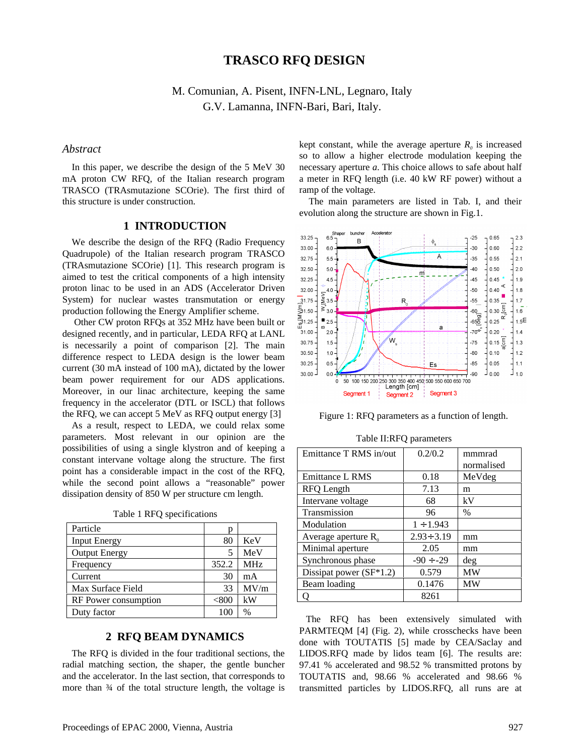# **TRASCO RFQ DESIGN**

M. Comunian, A. Pisent, INFN-LNL, Legnaro, Italy G.V. Lamanna, INFN-Bari, Bari, Italy.

### *Abstract*

In this paper, we describe the design of the 5 MeV 30 mA proton CW RFQ, of the Italian research program TRASCO (TRAsmutazione SCOrie). The first third of this structure is under construction.

### **1 INTRODUCTION**

We describe the design of the RFQ (Radio Frequency Quadrupole) of the Italian research program TRASCO (TRAsmutazione SCOrie) [1]. This research program is aimed to test the critical components of a high intensity proton linac to be used in an ADS (Accelerator Driven System) for nuclear wastes transmutation or energy production following the Energy Amplifier scheme.

 Other CW proton RFQs at 352 MHz have been built or designed recently, and in particular, LEDA RFQ at LANL is necessarily a point of comparison [2]. The main difference respect to LEDA design is the lower beam current (30 mA instead of 100 mA), dictated by the lower beam power requirement for our ADS applications. Moreover, in our linac architecture, keeping the same frequency in the accelerator (DTL or ISCL) that follows the RFQ, we can accept 5 MeV as RFQ output energy [3]

As a result, respect to LEDA, we could relax some parameters. Most relevant in our opinion are the possibilities of using a single klystron and of keeping a constant intervane voltage along the structure. The first point has a considerable impact in the cost of the RFQ, while the second point allows a "reasonable" power dissipation density of 850 W per structure cm length.

| Particle             | p           |                 |
|----------------------|-------------|-----------------|
| <b>Input Energy</b>  | 80          | KeV             |
| <b>Output Energy</b> | 5           | MeV             |
| Frequency            | 352.2       | MH <sub>z</sub> |
| Current              | 30          | mA              |
| Max Surface Field    | 33          | MV/m            |
| RF Power consumption | $< \!\!800$ | kW              |
| Duty factor          |             | $\%$            |

Table 1 RFQ specifications

## **2 RFQ BEAM DYNAMICS**

The RFQ is divided in the four traditional sections, the radial matching section, the shaper, the gentle buncher and the accelerator. In the last section, that corresponds to more than  $\frac{3}{4}$  of the total structure length, the voltage is

kept constant, while the average aperture  $R_0$  is increased so to allow a higher electrode modulation keeping the necessary aperture *a*. This choice allows to safe about half a meter in RFQ length (i.e. 40 kW RF power) without a ramp of the voltage.

The main parameters are listed in Tab. I, and their evolution along the structure are shown in Fig.1.



Figure 1: RFQ parameters as a function of length.

| Emittance T RMS in/out    | 0.2/0.2          | mmmrad     |
|---------------------------|------------------|------------|
|                           |                  | normalised |
| Emittance L RMS           | 0.18             | MeVdeg     |
| <b>RFQ</b> Length         | 7.13             | m          |
| Intervane voltage         | 68               | kV         |
| Transmission              | 96               | $\%$       |
| Modulation                | $1 \div 1.943$   |            |
| Average aperture $R_0$    | $2.93 \div 3.19$ | mm         |
| Minimal aperture          | 2.05             | mm         |
| Synchronous phase         | $-90 \div -29$   | deg        |
| Dissipat power $(SF*1.2)$ | 0.579            | <b>MW</b>  |
| Beam loading              | 0.1476           | MW         |
|                           | 8261             |            |

Table II:RFQ parameters

The RFQ has been extensively simulated with PARMTEQM [4] (Fig. 2), while crosschecks have been done with TOUTATIS [5] made by CEA/Saclay and LIDOS.RFQ made by lidos team [6]. The results are: 97.41 % accelerated and 98.52 % transmitted protons by TOUTATIS and, 98.66 % accelerated and 98.66 % transmitted particles by LIDOS.RFQ, all runs are at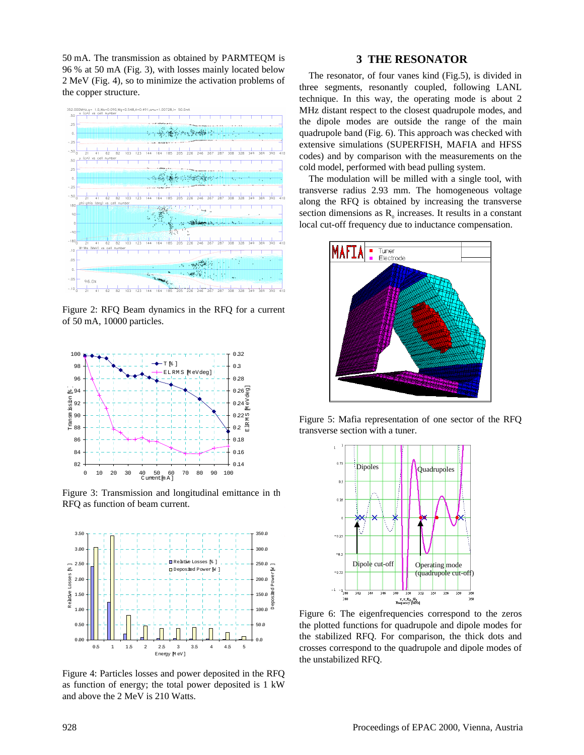50 mA. The transmission as obtained by PARMTEQM is 96 % at 50 mA (Fig. 3), with losses mainly located below 2 MeV (Fig. 4), so to minimize the activation problems of the copper structure.



Figure 2: RFQ Beam dynamics in the RFQ for a current of 50 mA, 10000 particles.



Figure 3: Transmission and longitudinal emittance in the RFQ as function of beam current.



Figure 4: Particles losses and power deposited in the RFQ as function of energy; the total power deposited is 1 kW and above the 2 MeV is 210 Watts.

### **3 THE RESONATOR**

The resonator, of four vanes kind (Fig.5), is divided in three segments, resonantly coupled, following LANL technique. In this way, the operating mode is about 2 MHz distant respect to the closest quadrupole modes, and the dipole modes are outside the range of the main quadrupole band (Fig. 6). This approach was checked with extensive simulations (SUPERFISH, MAFIA and HFSS codes) and by comparison with the measurements on the cold model, performed with bead pulling system.

The modulation will be milled with a single tool, with transverse radius 2.93 mm. The homogeneous voltage along the RFQ is obtained by increasing the transverse section dimensions as  $R_0$  increases. It results in a constant local cut-off frequency due to inductance compensation.



Figure 5: Mafia representation of one sector of the RFQ transverse section with a tuner.



Figure 6: The eigenfrequencies correspond to the zeros the plotted functions for quadrupole and dipole modes for the stabilized RFQ. For comparison, the thick dots and crosses correspond to the quadrupole and dipole modes of the unstabilized RFQ.